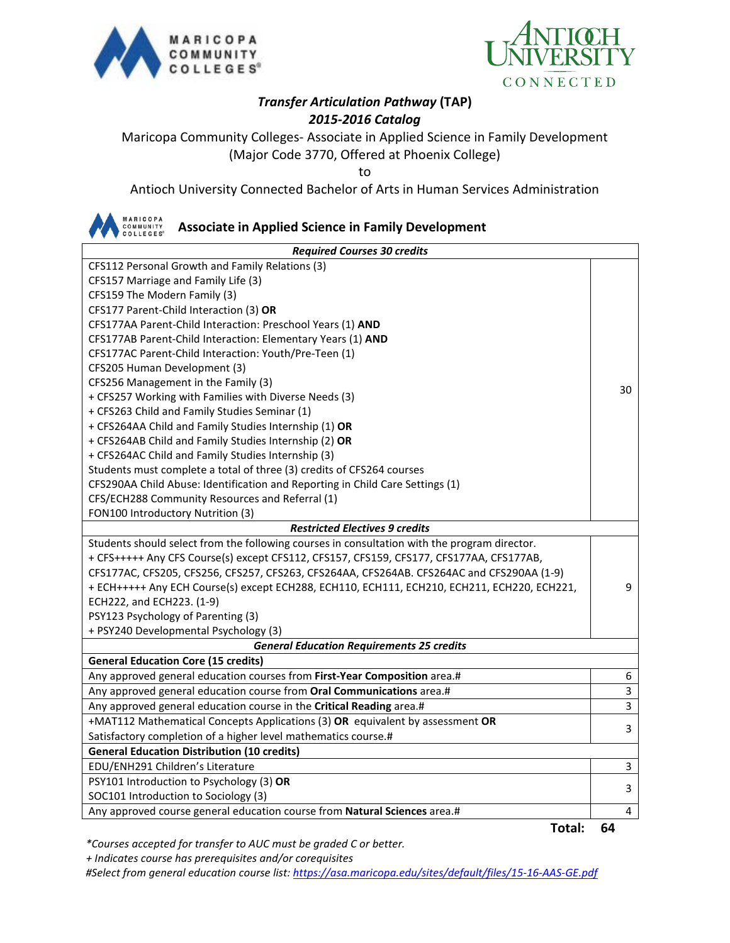



## *Transfer Articulation Pathway* **(TAP)** *2015-2016 Catalog*

Maricopa Community Colleges- Associate in Applied Science in Family Development (Major Code 3770, Offered at Phoenix College)

to

Antioch University Connected Bachelor of Arts in Human Services Administration

MARICOPA<br>COMMUNITY<br>COLLEGES<sup>®</sup>

#### **Associate in Applied Science in Family Development**

| <b>Required Courses 30 credits</b>                                                           |    |  |  |
|----------------------------------------------------------------------------------------------|----|--|--|
| CFS112 Personal Growth and Family Relations (3)                                              |    |  |  |
| CFS157 Marriage and Family Life (3)                                                          |    |  |  |
| CFS159 The Modern Family (3)                                                                 |    |  |  |
| CFS177 Parent-Child Interaction (3) OR                                                       |    |  |  |
| CFS177AA Parent-Child Interaction: Preschool Years (1) AND                                   |    |  |  |
| CFS177AB Parent-Child Interaction: Elementary Years (1) AND                                  |    |  |  |
| CFS177AC Parent-Child Interaction: Youth/Pre-Teen (1)                                        |    |  |  |
| CFS205 Human Development (3)                                                                 |    |  |  |
| CFS256 Management in the Family (3)                                                          | 30 |  |  |
| + CFS257 Working with Families with Diverse Needs (3)                                        |    |  |  |
| + CFS263 Child and Family Studies Seminar (1)                                                |    |  |  |
| + CFS264AA Child and Family Studies Internship (1) OR                                        |    |  |  |
| + CFS264AB Child and Family Studies Internship (2) OR                                        |    |  |  |
| + CFS264AC Child and Family Studies Internship (3)                                           |    |  |  |
| Students must complete a total of three (3) credits of CFS264 courses                        |    |  |  |
| CFS290AA Child Abuse: Identification and Reporting in Child Care Settings (1)                |    |  |  |
| CFS/ECH288 Community Resources and Referral (1)                                              |    |  |  |
| FON100 Introductory Nutrition (3)                                                            |    |  |  |
| <b>Restricted Electives 9 credits</b>                                                        |    |  |  |
| Students should select from the following courses in consultation with the program director. |    |  |  |
| + CFS+++++ Any CFS Course(s) except CFS112, CFS157, CFS159, CFS177, CFS177AA, CFS177AB,      |    |  |  |
| CFS177AC, CFS205, CFS256, CFS257, CFS263, CFS264AA, CFS264AB. CFS264AC and CFS290AA (1-9)    |    |  |  |
| + ECH+++++ Any ECH Course(s) except ECH288, ECH110, ECH111, ECH210, ECH211, ECH220, ECH221,  | 9  |  |  |
| ECH222, and ECH223. (1-9)                                                                    |    |  |  |
| PSY123 Psychology of Parenting (3)                                                           |    |  |  |
| + PSY240 Developmental Psychology (3)                                                        |    |  |  |
| <b>General Education Requirements 25 credits</b>                                             |    |  |  |
| <b>General Education Core (15 credits)</b>                                                   |    |  |  |
| Any approved general education courses from First-Year Composition area.#                    | 6  |  |  |
| Any approved general education course from Oral Communications area.#                        | 3  |  |  |
| Any approved general education course in the Critical Reading area.#                         | 3  |  |  |
| +MAT112 Mathematical Concepts Applications (3) OR equivalent by assessment OR                | 3  |  |  |
| Satisfactory completion of a higher level mathematics course.#                               |    |  |  |
| <b>General Education Distribution (10 credits)</b>                                           |    |  |  |
| EDU/ENH291 Children's Literature                                                             | 3  |  |  |
| PSY101 Introduction to Psychology (3) OR                                                     | 3  |  |  |
| SOC101 Introduction to Sociology (3)                                                         |    |  |  |
| Any approved course general education course from Natural Sciences area.#                    | 4  |  |  |

**Total: 64**

*\*Courses accepted for transfer to AUC must be graded C or better.*

 *+ Indicates course has prerequisites and/or corequisites*

*#Select from general education course list:<https://asa.maricopa.edu/sites/default/files/15-16-AAS-GE.pdf>*